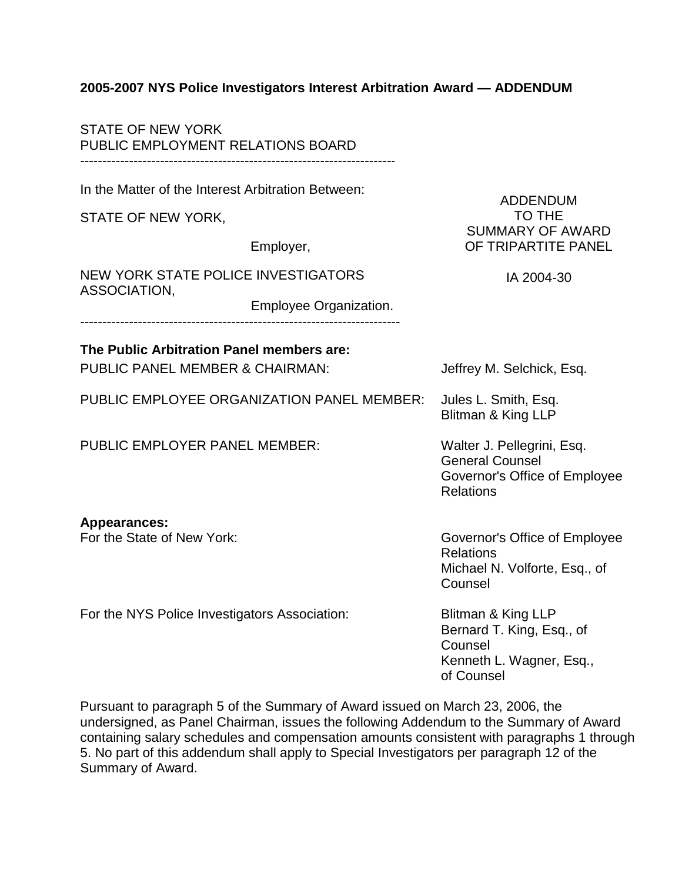## **2005-2007 NYS Police Investigators Interest Arbitration Award — ADDENDUM**

| <b>STATE OF NEW YORK</b><br>PUBLIC EMPLOYMENT RELATIONS BOARD                           |                        |                                                                                                           |
|-----------------------------------------------------------------------------------------|------------------------|-----------------------------------------------------------------------------------------------------------|
| In the Matter of the Interest Arbitration Between:                                      |                        | <b>ADDENDUM</b><br><b>TO THE</b>                                                                          |
| STATE OF NEW YORK,                                                                      |                        |                                                                                                           |
|                                                                                         | Employer,              | <b>SUMMARY OF AWARD</b><br>OF TRIPARTITE PANEL                                                            |
| <b>NEW YORK STATE POLICE INVESTIGATORS</b><br>ASSOCIATION,                              |                        | IA 2004-30                                                                                                |
|                                                                                         | Employee Organization. |                                                                                                           |
| The Public Arbitration Panel members are:<br><b>PUBLIC PANEL MEMBER &amp; CHAIRMAN:</b> |                        | Jeffrey M. Selchick, Esq.                                                                                 |
| PUBLIC EMPLOYEE ORGANIZATION PANEL MEMBER:                                              |                        | Jules L. Smith, Esq.<br>Blitman & King LLP                                                                |
| <b>PUBLIC EMPLOYER PANEL MEMBER:</b>                                                    |                        | Walter J. Pellegrini, Esq.<br><b>General Counsel</b><br>Governor's Office of Employee<br><b>Relations</b> |
| <b>Appearances:</b><br>For the State of New York:                                       |                        | Governor's Office of Employee<br><b>Relations</b><br>Michael N. Volforte, Esq., of<br>Counsel             |
| For the NYS Police Investigators Association:                                           |                        | Blitman & King LLP<br>Bernard T. King, Esq., of<br>Counsel<br>Kenneth L. Wagner, Esq.,<br>of Counsel      |

Pursuant to paragraph 5 of the Summary of Award issued on March 23, 2006, the undersigned, as Panel Chairman, issues the following Addendum to the Summary of Award containing salary schedules and compensation amounts consistent with paragraphs 1 through 5. No part of this addendum shall apply to Special Investigators per paragraph 12 of the Summary of Award.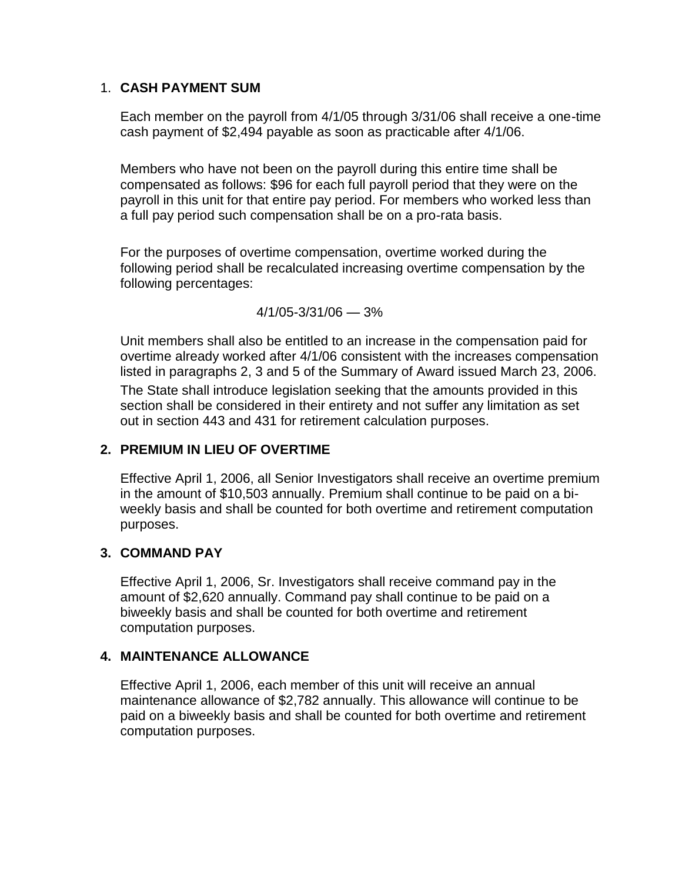### 1. **CASH PAYMENT SUM**

Each member on the payroll from 4/1/05 through 3/31/06 shall receive a one-time cash payment of \$2,494 payable as soon as practicable after 4/1/06.

Members who have not been on the payroll during this entire time shall be compensated as follows: \$96 for each full payroll period that they were on the payroll in this unit for that entire pay period. For members who worked less than a full pay period such compensation shall be on a pro-rata basis.

For the purposes of overtime compensation, overtime worked during the following period shall be recalculated increasing overtime compensation by the following percentages:

4/1/05-3/31/06 — 3%

Unit members shall also be entitled to an increase in the compensation paid for overtime already worked after 4/1/06 consistent with the increases compensation listed in paragraphs 2, 3 and 5 of the Summary of Award issued March 23, 2006. The State shall introduce legislation seeking that the amounts provided in this section shall be considered in their entirety and not suffer any limitation as set out in section 443 and 431 for retirement calculation purposes.

## **2. PREMIUM IN LIEU OF OVERTIME**

Effective April 1, 2006, all Senior Investigators shall receive an overtime premium in the amount of \$10,503 annually. Premium shall continue to be paid on a biweekly basis and shall be counted for both overtime and retirement computation purposes.

## **3. COMMAND PAY**

Effective April 1, 2006, Sr. Investigators shall receive command pay in the amount of \$2,620 annually. Command pay shall continue to be paid on a biweekly basis and shall be counted for both overtime and retirement computation purposes.

# **4. MAINTENANCE ALLOWANCE**

Effective April 1, 2006, each member of this unit will receive an annual maintenance allowance of \$2,782 annually. This allowance will continue to be paid on a biweekly basis and shall be counted for both overtime and retirement computation purposes.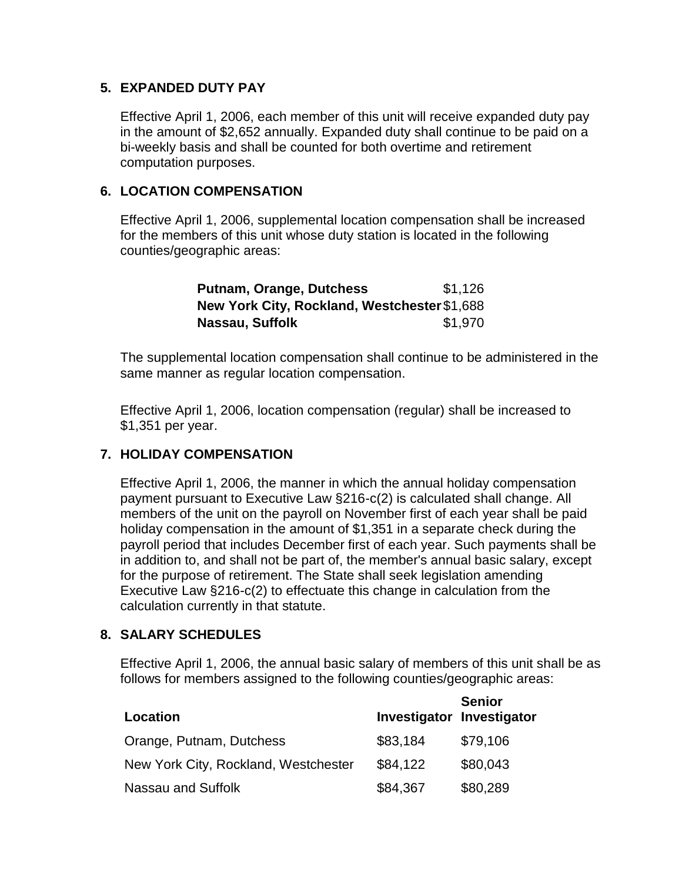### **5. EXPANDED DUTY PAY**

Effective April 1, 2006, each member of this unit will receive expanded duty pay in the amount of \$2,652 annually. Expanded duty shall continue to be paid on a bi-weekly basis and shall be counted for both overtime and retirement computation purposes.

### **6. LOCATION COMPENSATION**

Effective April 1, 2006, supplemental location compensation shall be increased for the members of this unit whose duty station is located in the following counties/geographic areas:

| <b>Putnam, Orange, Dutchess</b>              | \$1,126 |
|----------------------------------------------|---------|
| New York City, Rockland, Westchester \$1,688 |         |
| Nassau, Suffolk                              | \$1,970 |

The supplemental location compensation shall continue to be administered in the same manner as regular location compensation.

Effective April 1, 2006, location compensation (regular) shall be increased to \$1,351 per year.

## **7. HOLIDAY COMPENSATION**

Effective April 1, 2006, the manner in which the annual holiday compensation payment pursuant to Executive Law §216-c(2) is calculated shall change. All members of the unit on the payroll on November first of each year shall be paid holiday compensation in the amount of \$1,351 in a separate check during the payroll period that includes December first of each year. Such payments shall be in addition to, and shall not be part of, the member's annual basic salary, except for the purpose of retirement. The State shall seek legislation amending Executive Law §216-c(2) to effectuate this change in calculation from the calculation currently in that statute.

#### **8. SALARY SCHEDULES**

Effective April 1, 2006, the annual basic salary of members of this unit shall be as follows for members assigned to the following counties/geographic areas:

| Location                             | Investigator Investigator | <b>Senior</b> |
|--------------------------------------|---------------------------|---------------|
| Orange, Putnam, Dutchess             | \$83,184                  | \$79,106      |
| New York City, Rockland, Westchester | \$84,122                  | \$80,043      |
| Nassau and Suffolk                   | \$84,367                  | \$80,289      |